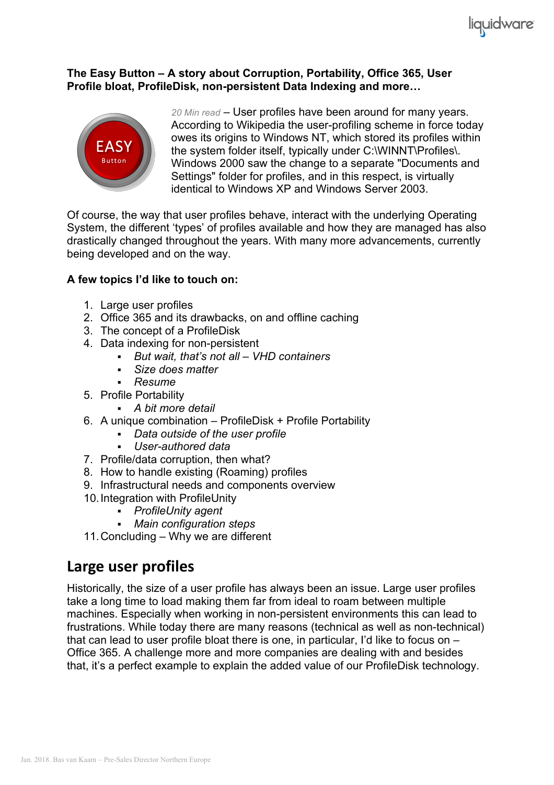

#### **The Easy Button – A story about Corruption, Portability, Office 365, User Profile bloat, ProfileDisk, non-persistent Data Indexing and more…**



*20 Min read* – User profiles have been around for many years. According to Wikipedia the user-profiling scheme in force today owes its origins to Windows NT, which stored its profiles within the system folder itself, typically under C:\WINNT\Profiles\. Windows 2000 saw the change to a separate "Documents and Settings" folder for profiles, and in this respect, is virtually identical to Windows XP and Windows Server 2003.

Of course, the way that user profiles behave, interact with the underlying Operating System, the different 'types' of profiles available and how they are managed has also drastically changed throughout the years. With many more advancements, currently being developed and on the way.

#### **A few topics I'd like to touch on:**

- 1. Large user profiles
- 2. Office 365 and its drawbacks, on and offline caching
- 3. The concept of a ProfileDisk
- 4. Data indexing for non-persistent
	- § *But wait, that's not all – VHD containers*
	- § *Size does matter*
	- § *Resume*
- 5. Profile Portability
	- § *A bit more detail*
- 6. A unique combination ProfileDisk + Profile Portability
	- § *Data outside of the user profile*
	- § *User-authored data*
- 7. Profile/data corruption, then what?
- 8. How to handle existing (Roaming) profiles
- 9. Infrastructural needs and components overview
- 10.Integration with ProfileUnity
	- § *ProfileUnity agent*
	- § *Main configuration steps*
- 11.Concluding Why we are different

### Large user profiles

Historically, the size of a user profile has always been an issue. Large user profiles take a long time to load making them far from ideal to roam between multiple machines. Especially when working in non-persistent environments this can lead to frustrations. While today there are many reasons (technical as well as non-technical) that can lead to user profile bloat there is one, in particular, I'd like to focus on – Office 365. A challenge more and more companies are dealing with and besides that, it's a perfect example to explain the added value of our ProfileDisk technology.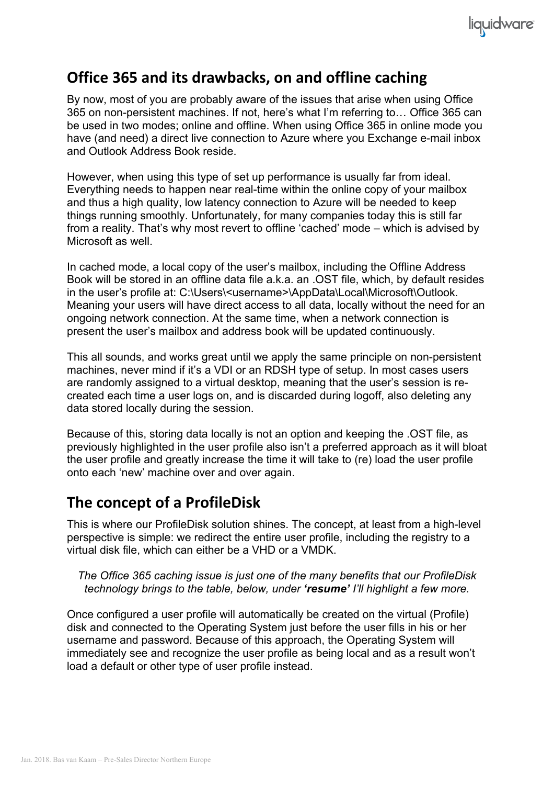

# **Office 365 and its drawbacks, on and offline caching**

By now, most of you are probably aware of the issues that arise when using Office 365 on non-persistent machines. If not, here's what I'm referring to… Office 365 can be used in two modes; online and offline. When using Office 365 in online mode you have (and need) a direct live connection to Azure where you Exchange e-mail inbox and Outlook Address Book reside.

However, when using this type of set up performance is usually far from ideal. Everything needs to happen near real-time within the online copy of your mailbox and thus a high quality, low latency connection to Azure will be needed to keep things running smoothly. Unfortunately, for many companies today this is still far from a reality. That's why most revert to offline 'cached' mode – which is advised by Microsoft as well.

In cached mode, a local copy of the user's mailbox, including the Offline Address Book will be stored in an offline data file a.k.a. an .OST file, which, by default resides in the user's profile at: C:\Users\<username>\AppData\Local\Microsoft\Outlook. Meaning your users will have direct access to all data, locally without the need for an ongoing network connection. At the same time, when a network connection is present the user's mailbox and address book will be updated continuously.

This all sounds, and works great until we apply the same principle on non-persistent machines, never mind if it's a VDI or an RDSH type of setup. In most cases users are randomly assigned to a virtual desktop, meaning that the user's session is recreated each time a user logs on, and is discarded during logoff, also deleting any data stored locally during the session.

Because of this, storing data locally is not an option and keeping the .OST file, as previously highlighted in the user profile also isn't a preferred approach as it will bloat the user profile and greatly increase the time it will take to (re) load the user profile onto each 'new' machine over and over again.

## **The concept of a ProfileDisk**

This is where our ProfileDisk solution shines. The concept, at least from a high-level perspective is simple: we redirect the entire user profile, including the registry to a virtual disk file, which can either be a VHD or a VMDK.

#### *The Office 365 caching issue is just one of the many benefits that our ProfileDisk technology brings to the table, below, under 'resume' I'll highlight a few more.*

Once configured a user profile will automatically be created on the virtual (Profile) disk and connected to the Operating System just before the user fills in his or her username and password. Because of this approach, the Operating System will immediately see and recognize the user profile as being local and as a result won't load a default or other type of user profile instead.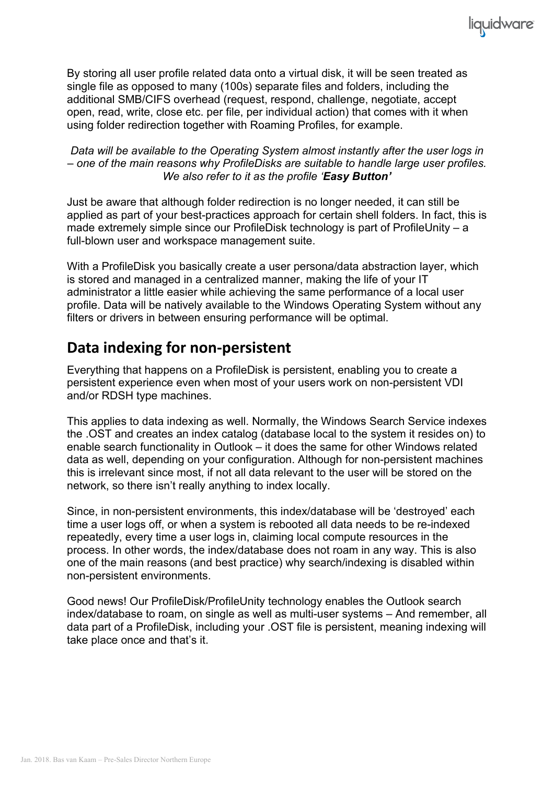By storing all user profile related data onto a virtual disk, it will be seen treated as single file as opposed to many (100s) separate files and folders, including the additional SMB/CIFS overhead (request, respond, challenge, negotiate, accept open, read, write, close etc. per file, per individual action) that comes with it when using folder redirection together with Roaming Profiles, for example.

liquidware

*Data will be available to the Operating System almost instantly after the user logs in – one of the main reasons why ProfileDisks are suitable to handle large user profiles. We also refer to it as the profile 'Easy Button'*

Just be aware that although folder redirection is no longer needed, it can still be applied as part of your best-practices approach for certain shell folders. In fact, this is made extremely simple since our ProfileDisk technology is part of ProfileUnity – a full-blown user and workspace management suite.

With a ProfileDisk you basically create a user persona/data abstraction layer, which is stored and managed in a centralized manner, making the life of your IT administrator a little easier while achieving the same performance of a local user profile. Data will be natively available to the Windows Operating System without any filters or drivers in between ensuring performance will be optimal.

# **Data indexing for non-persistent**

Everything that happens on a ProfileDisk is persistent, enabling you to create a persistent experience even when most of your users work on non-persistent VDI and/or RDSH type machines.

This applies to data indexing as well. Normally, the Windows Search Service indexes the .OST and creates an index catalog (database local to the system it resides on) to enable search functionality in Outlook – it does the same for other Windows related data as well, depending on your configuration. Although for non-persistent machines this is irrelevant since most, if not all data relevant to the user will be stored on the network, so there isn't really anything to index locally.

Since, in non-persistent environments, this index/database will be 'destroyed' each time a user logs off, or when a system is rebooted all data needs to be re-indexed repeatedly, every time a user logs in, claiming local compute resources in the process. In other words, the index/database does not roam in any way. This is also one of the main reasons (and best practice) why search/indexing is disabled within non-persistent environments.

Good news! Our ProfileDisk/ProfileUnity technology enables the Outlook search index/database to roam, on single as well as multi-user systems – And remember, all data part of a ProfileDisk, including your .OST file is persistent, meaning indexing will take place once and that's it.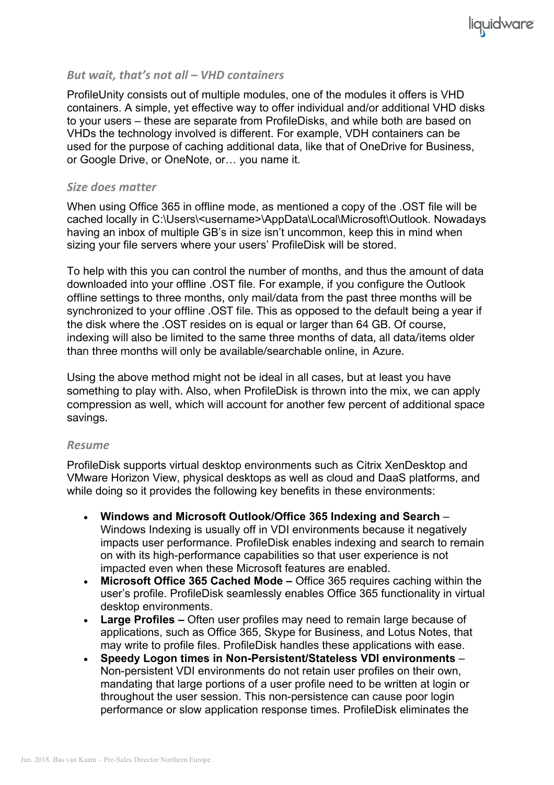#### *But* wait, that's not all – VHD containers

ProfileUnity consists out of multiple modules, one of the modules it offers is VHD containers. A simple, yet effective way to offer individual and/or additional VHD disks to your users – these are separate from ProfileDisks, and while both are based on VHDs the technology involved is different. For example, VDH containers can be used for the purpose of caching additional data, like that of OneDrive for Business, or Google Drive, or OneNote, or… you name it.

#### *Size does matter*

When using Office 365 in offline mode, as mentioned a copy of the .OST file will be cached locally in C:\Users\<username>\AppData\Local\Microsoft\Outlook. Nowadays having an inbox of multiple GB's in size isn't uncommon, keep this in mind when sizing your file servers where your users' ProfileDisk will be stored.

To help with this you can control the number of months, and thus the amount of data downloaded into your offline .OST file. For example, if you configure the Outlook offline settings to three months, only mail/data from the past three months will be synchronized to your offline .OST file. This as opposed to the default being a year if the disk where the .OST resides on is equal or larger than 64 GB. Of course, indexing will also be limited to the same three months of data, all data/items older than three months will only be available/searchable online, in Azure.

Using the above method might not be ideal in all cases, but at least you have something to play with. Also, when ProfileDisk is thrown into the mix, we can apply compression as well, which will account for another few percent of additional space savings.

#### *Resume*

ProfileDisk supports virtual desktop environments such as Citrix XenDesktop and VMware Horizon View, physical desktops as well as cloud and DaaS platforms, and while doing so it provides the following key benefits in these environments:

- **Windows and Microsoft Outlook/Office 365 Indexing and Search** Windows Indexing is usually off in VDI environments because it negatively impacts user performance. ProfileDisk enables indexing and search to remain on with its high-performance capabilities so that user experience is not impacted even when these Microsoft features are enabled.
- **Microsoft Office 365 Cached Mode –** Office 365 requires caching within the user's profile. ProfileDisk seamlessly enables Office 365 functionality in virtual desktop environments.
- **Large Profiles –** Often user profiles may need to remain large because of applications, such as Office 365, Skype for Business, and Lotus Notes, that may write to profile files. ProfileDisk handles these applications with ease.
- **Speedy Logon times in Non-Persistent/Stateless VDI environments** Non-persistent VDI environments do not retain user profiles on their own, mandating that large portions of a user profile need to be written at login or throughout the user session. This non-persistence can cause poor login performance or slow application response times. ProfileDisk eliminates the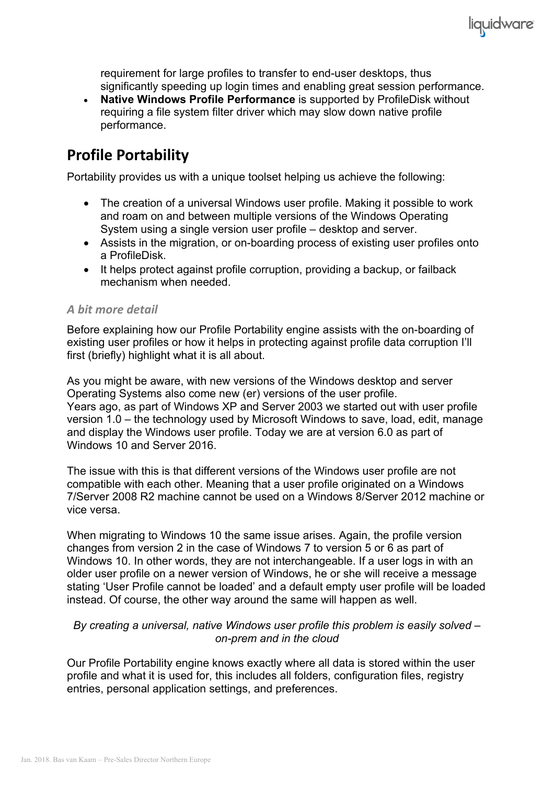requirement for large profiles to transfer to end-user desktops, thus significantly speeding up login times and enabling great session performance.

liquidware

• **Native Windows Profile Performance** is supported by ProfileDisk without requiring a file system filter driver which may slow down native profile performance.

# **Profile Portability**

Portability provides us with a unique toolset helping us achieve the following:

- The creation of a universal Windows user profile. Making it possible to work and roam on and between multiple versions of the Windows Operating System using a single version user profile – desktop and server.
- Assists in the migration, or on-boarding process of existing user profiles onto a ProfileDisk.
- It helps protect against profile corruption, providing a backup, or failback mechanism when needed.

#### *A bit more detail*

Before explaining how our Profile Portability engine assists with the on-boarding of existing user profiles or how it helps in protecting against profile data corruption I'll first (briefly) highlight what it is all about.

As you might be aware, with new versions of the Windows desktop and server Operating Systems also come new (er) versions of the user profile. Years ago, as part of Windows XP and Server 2003 we started out with user profile version 1.0 – the technology used by Microsoft Windows to save, load, edit, manage and display the Windows user profile. Today we are at version 6.0 as part of Windows 10 and Server 2016.

The issue with this is that different versions of the Windows user profile are not compatible with each other. Meaning that a user profile originated on a Windows 7/Server 2008 R2 machine cannot be used on a Windows 8/Server 2012 machine or vice versa.

When migrating to Windows 10 the same issue arises. Again, the profile version changes from version 2 in the case of Windows 7 to version 5 or 6 as part of Windows 10. In other words, they are not interchangeable. If a user logs in with an older user profile on a newer version of Windows, he or she will receive a message stating 'User Profile cannot be loaded' and a default empty user profile will be loaded instead. Of course, the other way around the same will happen as well.

#### *By creating a universal, native Windows user profile this problem is easily solved – on-prem and in the cloud*

Our Profile Portability engine knows exactly where all data is stored within the user profile and what it is used for, this includes all folders, configuration files, registry entries, personal application settings, and preferences.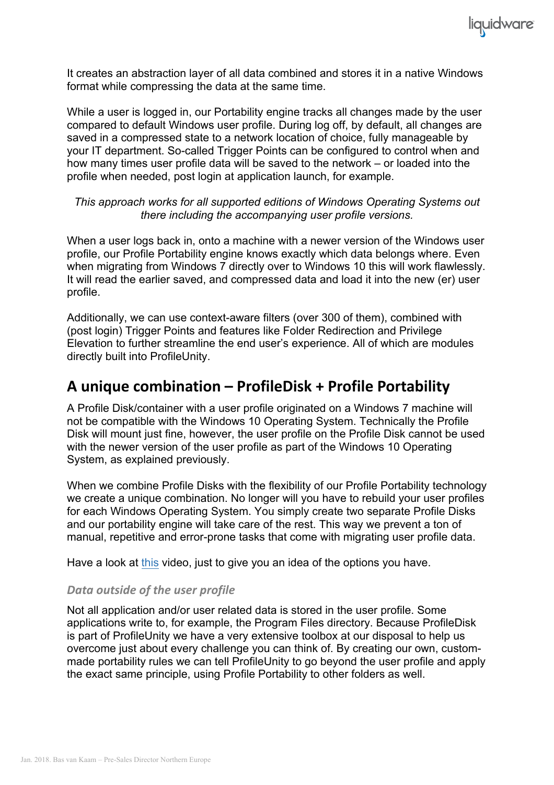

It creates an abstraction layer of all data combined and stores it in a native Windows format while compressing the data at the same time.

While a user is logged in, our Portability engine tracks all changes made by the user compared to default Windows user profile. During log off, by default, all changes are saved in a compressed state to a network location of choice, fully manageable by your IT department. So-called Trigger Points can be configured to control when and how many times user profile data will be saved to the network – or loaded into the profile when needed, post login at application launch, for example.

#### *This approach works for all supported editions of Windows Operating Systems out there including the accompanying user profile versions.*

When a user logs back in, onto a machine with a newer version of the Windows user profile, our Profile Portability engine knows exactly which data belongs where. Even when migrating from Windows 7 directly over to Windows 10 this will work flawlessly. It will read the earlier saved, and compressed data and load it into the new (er) user profile.

Additionally, we can use context-aware filters (over 300 of them), combined with (post login) Trigger Points and features like Folder Redirection and Privilege Elevation to further streamline the end user's experience. All of which are modules directly built into ProfileUnity.

### **A unique combination – ProfileDisk + Profile Portability**

A Profile Disk/container with a user profile originated on a Windows 7 machine will not be compatible with the Windows 10 Operating System. Technically the Profile Disk will mount just fine, however, the user profile on the Profile Disk cannot be used with the newer version of the user profile as part of the Windows 10 Operating System, as explained previously.

When we combine Profile Disks with the flexibility of our Profile Portability technology we create a unique combination. No longer will you have to rebuild your user profiles for each Windows Operating System. You simply create two separate Profile Disks and our portability engine will take care of the rest. This way we prevent a ton of manual, repetitive and error-prone tasks that come with migrating user profile data.

Have a look at this video, just to give you an idea of the options you have.

#### **Data outside of the user profile**

Not all application and/or user related data is stored in the user profile. Some applications write to, for example, the Program Files directory. Because ProfileDisk is part of ProfileUnity we have a very extensive toolbox at our disposal to help us overcome just about every challenge you can think of. By creating our own, custommade portability rules we can tell ProfileUnity to go beyond the user profile and apply the exact same principle, using Profile Portability to other folders as well.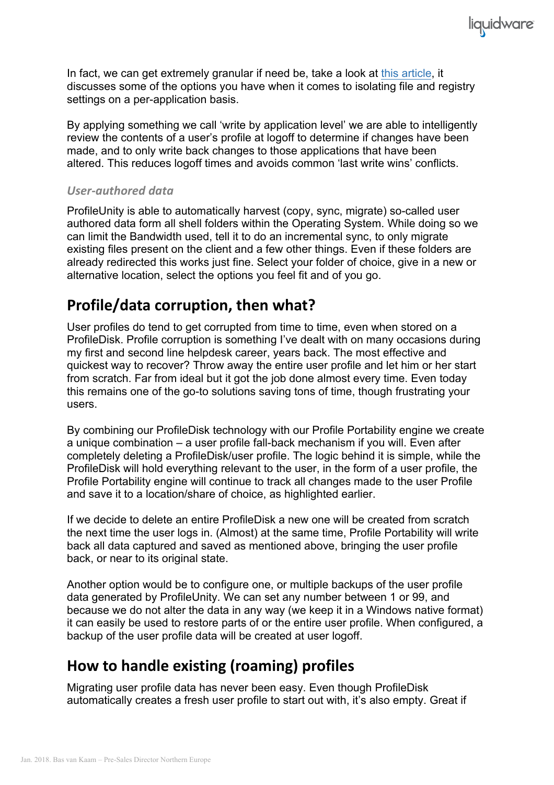In fact, we can get extremely granular if need be, take a look at this article, it discusses some of the options you have when it comes to isolating file and registry settings on a per-application basis.

liquidware

By applying something we call 'write by application level' we are able to intelligently review the contents of a user's profile at logoff to determine if changes have been made, and to only write back changes to those applications that have been altered. This reduces logoff times and avoids common 'last write wins' conflicts.

#### *User-authored data*

ProfileUnity is able to automatically harvest (copy, sync, migrate) so-called user authored data form all shell folders within the Operating System. While doing so we can limit the Bandwidth used, tell it to do an incremental sync, to only migrate existing files present on the client and a few other things. Even if these folders are already redirected this works just fine. Select your folder of choice, give in a new or alternative location, select the options you feel fit and of you go.

## **Profile/data corruption, then what?**

User profiles do tend to get corrupted from time to time, even when stored on a ProfileDisk. Profile corruption is something I've dealt with on many occasions during my first and second line helpdesk career, years back. The most effective and quickest way to recover? Throw away the entire user profile and let him or her start from scratch. Far from ideal but it got the job done almost every time. Even today this remains one of the go-to solutions saving tons of time, though frustrating your users.

By combining our ProfileDisk technology with our Profile Portability engine we create a unique combination – a user profile fall-back mechanism if you will. Even after completely deleting a ProfileDisk/user profile. The logic behind it is simple, while the ProfileDisk will hold everything relevant to the user, in the form of a user profile, the Profile Portability engine will continue to track all changes made to the user Profile and save it to a location/share of choice, as highlighted earlier.

If we decide to delete an entire ProfileDisk a new one will be created from scratch the next time the user logs in. (Almost) at the same time, Profile Portability will write back all data captured and saved as mentioned above, bringing the user profile back, or near to its original state.

Another option would be to configure one, or multiple backups of the user profile data generated by ProfileUnity. We can set any number between 1 or 99, and because we do not alter the data in any way (we keep it in a Windows native format) it can easily be used to restore parts of or the entire user profile. When configured, a backup of the user profile data will be created at user logoff.

# **How to handle existing (roaming) profiles**

Migrating user profile data has never been easy. Even though ProfileDisk automatically creates a fresh user profile to start out with, it's also empty. Great if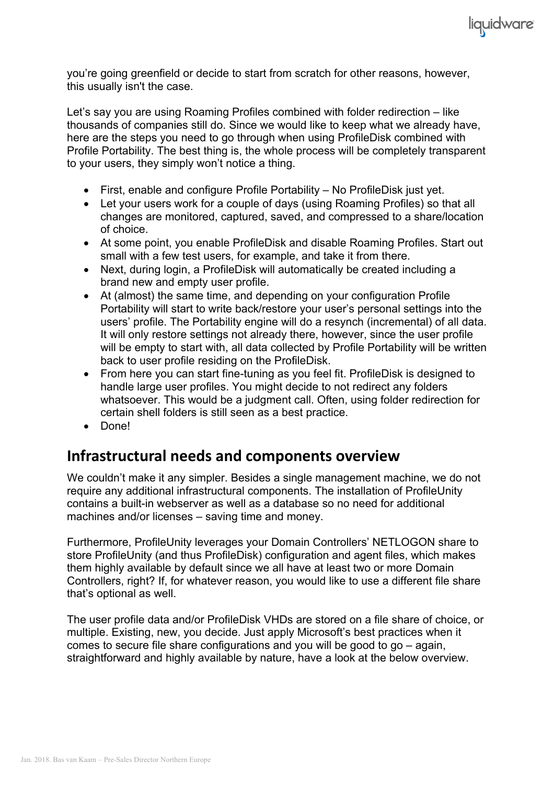

liquidware

Let's say you are using Roaming Profiles combined with folder redirection – like thousands of companies still do. Since we would like to keep what we already have, here are the steps you need to go through when using ProfileDisk combined with Profile Portability. The best thing is, the whole process will be completely transparent to your users, they simply won't notice a thing.

- First, enable and configure Profile Portability No ProfileDisk just yet.
- Let your users work for a couple of days (using Roaming Profiles) so that all changes are monitored, captured, saved, and compressed to a share/location of choice.
- At some point, you enable ProfileDisk and disable Roaming Profiles. Start out small with a few test users, for example, and take it from there.
- Next, during login, a ProfileDisk will automatically be created including a brand new and empty user profile.
- At (almost) the same time, and depending on your configuration Profile Portability will start to write back/restore your user's personal settings into the users' profile. The Portability engine will do a resynch (incremental) of all data. It will only restore settings not already there, however, since the user profile will be empty to start with, all data collected by Profile Portability will be written back to user profile residing on the ProfileDisk.
- From here you can start fine-tuning as you feel fit. ProfileDisk is designed to handle large user profiles. You might decide to not redirect any folders whatsoever. This would be a judgment call. Often, using folder redirection for certain shell folders is still seen as a best practice.
- Done!

## **Infrastructural needs and components overview**

We couldn't make it any simpler. Besides a single management machine, we do not require any additional infrastructural components. The installation of ProfileUnity contains a built-in webserver as well as a database so no need for additional machines and/or licenses – saving time and money.

Furthermore, ProfileUnity leverages your Domain Controllers' NETLOGON share to store ProfileUnity (and thus ProfileDisk) configuration and agent files, which makes them highly available by default since we all have at least two or more Domain Controllers, right? If, for whatever reason, you would like to use a different file share that's optional as well.

The user profile data and/or ProfileDisk VHDs are stored on a file share of choice, or multiple. Existing, new, you decide. Just apply Microsoft's best practices when it comes to secure file share configurations and you will be good to go – again, straightforward and highly available by nature, have a look at the below overview.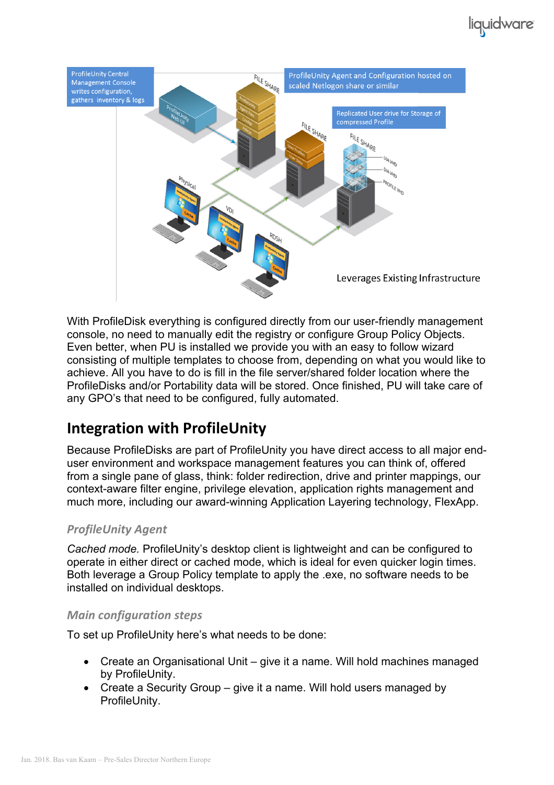

With ProfileDisk everything is configured directly from our user-friendly management console, no need to manually edit the registry or configure Group Policy Objects. Even better, when PU is installed we provide you with an easy to follow wizard consisting of multiple templates to choose from, depending on what you would like to achieve. All you have to do is fill in the file server/shared folder location where the ProfileDisks and/or Portability data will be stored. Once finished, PU will take care of any GPO's that need to be configured, fully automated.

# **Integration with ProfileUnity**

Because ProfileDisks are part of ProfileUnity you have direct access to all major enduser environment and workspace management features you can think of, offered from a single pane of glass, think: folder redirection, drive and printer mappings, our context-aware filter engine, privilege elevation, application rights management and much more, including our award-winning Application Layering technology, FlexApp.

### *ProfileUnity Agent*

*Cached mode.* ProfileUnity's desktop client is lightweight and can be configured to operate in either direct or cached mode, which is ideal for even quicker login times. Both leverage a Group Policy template to apply the .exe, no software needs to be installed on individual desktops.

### *Main configuration steps*

To set up ProfileUnity here's what needs to be done:

- Create an Organisational Unit give it a name. Will hold machines managed by ProfileUnity.
- Create a Security Group give it a name. Will hold users managed by ProfileUnity.